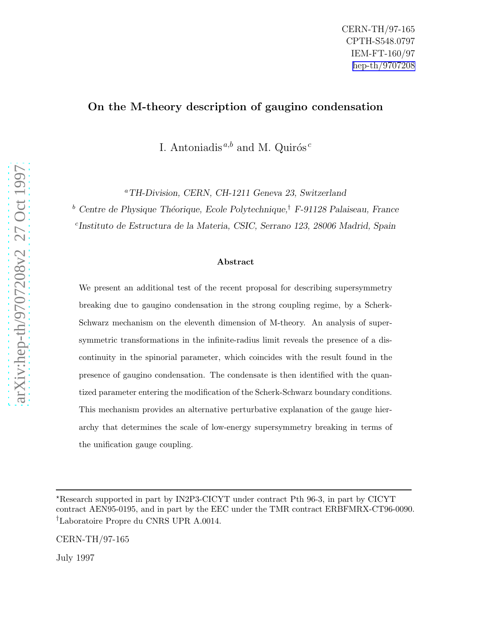## On the M-theory description of gaugino condensation

I. Antoniadis<sup> $a,b$ </sup> and M. Quirós<sup>c</sup>

<sup>a</sup>TH-Division, CERN, CH-1211 Geneva 23, Switzerland

<sup>b</sup> Centre de Physique Théorique, Ecole Polytechnique,<sup>†</sup> F-91128 Palaiseau, France

c Instituto de Estructura de la Materia, CSIC, Serrano 123, 28006 Madrid, Spain

### Abstract

We present an additional test of the recent proposal for describing supersymmetry breaking due to gaugino condensation in the strong coupling regime, by a Scherk-Schwarz mechanism on the eleventh dimension of M-theory. An analysis of supersymmetric transformations in the infinite-radius limit reveals the presence of a discontinuity in the spinorial parameter, which coincides with the result found in the presence of gaugino condensation. The condensate is then identified with the quantized parameter entering the modification of the Scherk-Schwarz boundary conditions. This mechanism provides an alternative perturbative explanation of the gauge hierarchy that determines the scale of low-energy supersymmetry breaking in terms of the unification gauge coupling.

CERN-TH/97-165

July 1997

<sup>⋆</sup>Research supported in part by IN2P3-CICYT under contract Pth 96-3, in part by CICYT contract AEN95-0195, and in part by the EEC under the TMR contract ERBFMRX-CT96-0090. †Laboratoire Propre du CNRS UPR A.0014.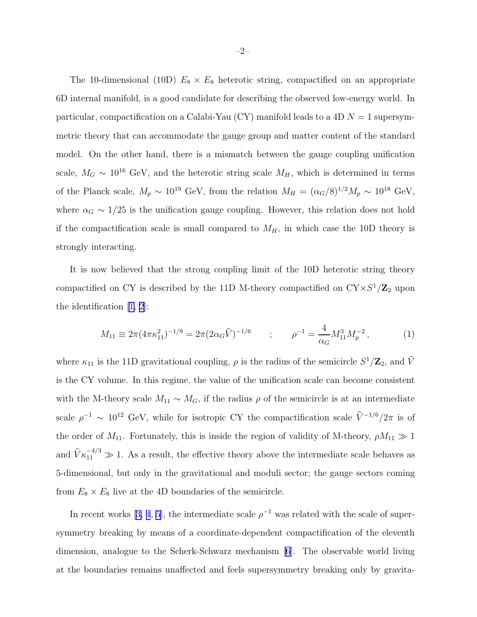<span id="page-1-0"></span>The 10-dimensional (10D)  $E_8 \times E_8$  heterotic string, compactified on an appropriate 6D internal manifold, is a good candidate for describing the observed low-energy world. In particular, compactification on a Calabi-Yau (CY) manifold leads to a 4D  $N = 1$  supersymmetric theory that can accommodate the gauge group and matter content of the standard model. On the other hand, there is a mismatch between the gauge coupling unification scale,  $M_G \sim 10^{16}$  GeV, and the heterotic string scale  $M_H$ , which is determined in terms of the Planck scale,  $M_p \sim 10^{19} \text{ GeV}$ , from the relation  $M_H = (\alpha_G/8)^{1/2} M_p \sim 10^{18} \text{ GeV}$ , where  $\alpha_G \sim 1/25$  is the unification gauge coupling. However, this relation does not hold if the compactification scale is small compared to  $M_H$ , in which case the 10D theory is strongly interacting.

It is now believed that the strong coupling limit of the 10D heterotic string theory compactified on CY is described by the 11D M-theory compactified on  $CY \times S^1/\mathbb{Z}_2$  upon the identification[[1, 2\]](#page-12-0):

$$
M_{11} \equiv 2\pi (4\pi \kappa_{11}^2)^{-1/9} = 2\pi (2\alpha_G \hat{V})^{-1/6} \qquad ; \qquad \rho^{-1} = \frac{4}{\alpha_G} M_{11}^3 M_p^{-2} \,, \tag{1}
$$

where  $\kappa_{11}$  is the 11D gravitational coupling,  $\rho$  is the radius of the semicircle  $S^1/\mathbb{Z}_2$ , and  $\hat{V}$ is the CY volume. In this regime, the value of the unification scale can become consistent with the M-theory scale  $M_{11} \sim M_G$ , if the radius  $\rho$  of the semicircle is at an intermediate scale  $\rho^{-1} \sim 10^{12}$  GeV, while for isotropic CY the compactification scale  $\hat{V}^{-1/6}/2\pi$  is of the order of  $M_{11}$ . Fortunately, this is inside the region of validity of M-theory,  $\rho M_{11} \gg 1$ and  $\hat{V}\kappa_{11}^{-4/3} \gg 1$ . As a result, the effective theory above the intermediate scale behaves as 5-dimensional, but only in the gravitational and moduli sector; the gauge sectors coming from  $E_8 \times E_8$  live at the 4D boundaries of the semicircle.

Inrecent works [[3, 4](#page-12-0), [5](#page-12-0)], the intermediate scale  $\rho^{-1}$  was related with the scale of supersymmetry breaking by means of a coordinate-dependent compactification of the eleventh dimension, analogue to the Scherk-Schwarz mechanism [\[6\]](#page-12-0). The observable world living at the boundaries remains unaffected and feels supersymmetry breaking only by gravita-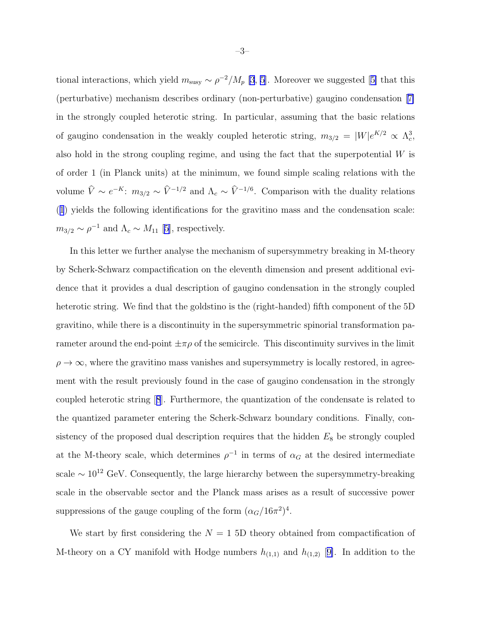tionalinteractions, which yield  $m_{\text{susy}} \sim \rho^{-2}/M_p$  [\[3](#page-12-0), [5\]](#page-12-0). Moreover we suggested [[5\]](#page-12-0) that this (perturbative) mechanism describes ordinary (non-perturbative) gaugino condensation[[7\]](#page-12-0) in the strongly coupled heterotic string. In particular, assuming that the basic relations of gaugino condensation in the weakly coupled heterotic string,  $m_{3/2} = |W|e^{K/2} \propto \Lambda_c^3$ , also hold in the strong coupling regime, and using the fact that the superpotential  $W$  is of order 1 (in Planck units) at the minimum, we found simple scaling relations with the volume  $\hat{V} \sim e^{-K}$ :  $m_{3/2} \sim \hat{V}^{-1/2}$  and  $\Lambda_c \sim \hat{V}^{-1/6}$ . Comparison with the duality relations ([1](#page-1-0)) yields the following identifications for the gravitino mass and the condensation scale:  $m_{3/2} \sim \rho^{-1}$  and  $\Lambda_c \sim M_{11}$  [\[5\]](#page-12-0), respectively.

In this letter we further analyse the mechanism of supersymmetry breaking in M-theory by Scherk-Schwarz compactification on the eleventh dimension and present additional evidence that it provides a dual description of gaugino condensation in the strongly coupled heterotic string. We find that the goldstino is the (right-handed) fifth component of the 5D gravitino, while there is a discontinuity in the supersymmetric spinorial transformation parameter around the end-point  $\pm \pi \rho$  of the semicircle. This discontinuity survives in the limit  $\rho \to \infty$ , where the gravitino mass vanishes and supersymmetry is locally restored, in agreement with the result previously found in the case of gaugino condensation in the strongly coupled heterotic string[[8](#page-12-0)]. Furthermore, the quantization of the condensate is related to the quantized parameter entering the Scherk-Schwarz boundary conditions. Finally, consistency of the proposed dual description requires that the hidden  $E_8$  be strongly coupled at the M-theory scale, which determines  $\rho^{-1}$  in terms of  $\alpha_G$  at the desired intermediate scale  $\sim 10^{12}$  GeV. Consequently, the large hierarchy between the supersymmetry-breaking scale in the observable sector and the Planck mass arises as a result of successive power suppressions of the gauge coupling of the form  $(\alpha_G/16\pi^2)^4$ .

We start by first considering the  $N = 15D$  theory obtained from compactification of M-theory on a CY manifold with Hodge numbers  $h_{(1,1)}$  and  $h_{(1,2)}$  [[9\]](#page-12-0). In addition to the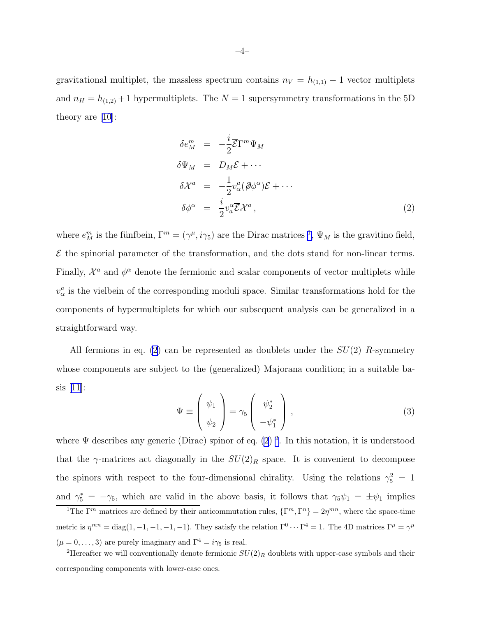<span id="page-3-0"></span>gravitational multiplet, the massless spectrum contains  $n_V = h_{(1,1)} - 1$  vector multiplets and  $n_H = h_{(1,2)} + 1$  hypermultiplets. The  $N = 1$  supersymmetry transformations in the 5D theory are[[10](#page-12-0)]:

$$
\delta e_M^m = -\frac{i}{2} \overline{\mathcal{E}} \Gamma^m \Psi_M
$$
  
\n
$$
\delta \Psi_M = D_M \mathcal{E} + \cdots
$$
  
\n
$$
\delta \mathcal{X}^a = -\frac{1}{2} v_\alpha^a (\partial \phi^\alpha) \mathcal{E} + \cdots
$$
  
\n
$$
\delta \phi^\alpha = \frac{i}{2} v_a^\alpha \overline{\mathcal{E}} \mathcal{X}^a,
$$
\n(2)

where  $e_M^m$  is the fünfbein,  $\Gamma^m = (\gamma^{\mu}, i\gamma_5)$  are the Dirac matrices <sup>1</sup>,  $\Psi_M$  is the gravitino field,  $\mathcal E$  the spinorial parameter of the transformation, and the dots stand for non-linear terms. Finally,  $\mathcal{X}^a$  and  $\phi^{\alpha}$  denote the fermionic and scalar components of vector multiplets while  $v^a_\alpha$  is the vielbein of the corresponding moduli space. Similar transformations hold for the components of hypermultiplets for which our subsequent analysis can be generalized in a straightforward way.

All fermions in eq. (2) can be represented as doublets under the  $SU(2)$  R-symmetry whose components are subject to the (generalized) Majorana condition; in a suitable basis[[11](#page-12-0)]:

$$
\Psi \equiv \left(\begin{array}{c} \psi_1 \\ \psi_2 \end{array}\right) = \gamma_5 \left(\begin{array}{c} \psi_2^* \\ -\psi_1^* \end{array}\right), \tag{3}
$$

where  $\Psi$  describes any generic (Dirac) spinor of eq. (2)<sup>2</sup>. In this notation, it is understood that the  $\gamma$ -matrices act diagonally in the  $SU(2)_R$  space. It is convenient to decompose the spinors with respect to the four-dimensional chirality. Using the relations  $\gamma_5^2 = 1$ and  $\gamma_5^* = -\gamma_5$ , which are valid in the above basis, it follows that  $\gamma_5 \psi_1 = \pm \psi_1$  implies

<sup>&</sup>lt;sup>1</sup>The  $\Gamma^m$  matrices are defined by their anticommutation rules,  $\{\Gamma^m, \Gamma^n\} = 2\eta^{mn}$ , where the space-time metric is  $\eta^{mn} = \text{diag}(1, -1, -1, -1, -1)$ . They satisfy the relation  $\Gamma^0 \cdots \Gamma^4 = 1$ . The 4D matrices  $\Gamma^{\mu} = \gamma^{\mu}$  $(\mu = 0, \ldots, 3)$  are purely imaginary and  $\Gamma^4 = i\gamma_5$  is real.

<sup>&</sup>lt;sup>2</sup>Hereafter we will conventionally denote fermionic  $SU(2)_R$  doublets with upper-case symbols and their corresponding components with lower-case ones.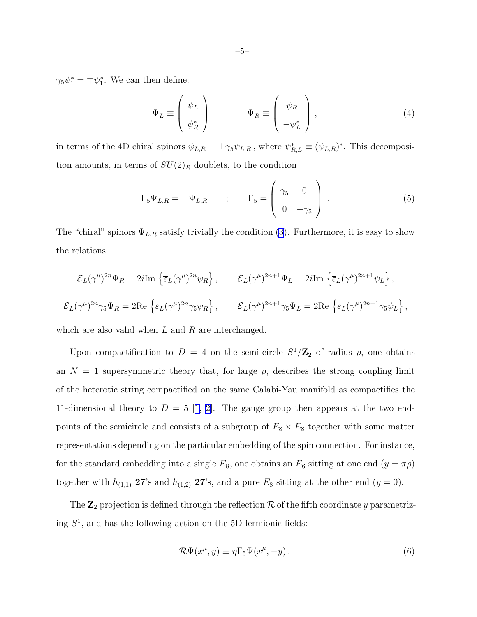<span id="page-4-0"></span> $\gamma_5 \psi_1^* = \mp \psi_1^*$ . We can then define:

$$
\Psi_L \equiv \begin{pmatrix} \psi_L \\ \psi_R^* \end{pmatrix} \qquad \Psi_R \equiv \begin{pmatrix} \psi_R \\ -\psi_L^* \end{pmatrix}, \qquad (4)
$$

in terms of the 4D chiral spinors  $\psi_{L,R} = \pm \gamma_5 \psi_{L,R}$ , where  $\psi_{R,L}^* \equiv (\psi_{L,R})^*$ . This decomposition amounts, in terms of  $SU(2)_R$  doublets, to the condition

$$
\Gamma_5 \Psi_{L,R} = \pm \Psi_{L,R} \qquad ; \qquad \Gamma_5 = \begin{pmatrix} \gamma_5 & 0 \\ 0 & -\gamma_5 \end{pmatrix} . \tag{5}
$$

The "chiral" spinors  $\Psi_{L,R}$  satisfy trivially the condition [\(3](#page-3-0)). Furthermore, it is easy to show the relations

$$
\overline{\mathcal{E}}_L(\gamma^\mu)^{2n} \Psi_R = 2i \text{Im} \left\{ \overline{\varepsilon}_L(\gamma^\mu)^{2n} \psi_R \right\}, \qquad \overline{\mathcal{E}}_L(\gamma^\mu)^{2n+1} \Psi_L = 2i \text{Im} \left\{ \overline{\varepsilon}_L(\gamma^\mu)^{2n+1} \psi_L \right\},
$$
  

$$
\overline{\mathcal{E}}_L(\gamma^\mu)^{2n} \gamma_5 \Psi_R = 2 \text{Re} \left\{ \overline{\varepsilon}_L(\gamma^\mu)^{2n} \gamma_5 \psi_R \right\}, \qquad \overline{\mathcal{E}}_L(\gamma^\mu)^{2n+1} \gamma_5 \Psi_L = 2 \text{Re} \left\{ \overline{\varepsilon}_L(\gamma^\mu)^{2n+1} \gamma_5 \psi_L \right\},
$$

which are also valid when  $L$  and  $R$  are interchanged.

Upon compactification to  $D = 4$  on the semi-circle  $S^1/\mathbb{Z}_2$  of radius  $\rho$ , one obtains an  $N = 1$  supersymmetric theory that, for large  $\rho$ , describes the strong coupling limit of the heterotic string compactified on the same Calabi-Yau manifold as compactifies the 11-dimensionaltheory to  $D = 5$  [[1, 2\]](#page-12-0). The gauge group then appears at the two endpoints of the semicircle and consists of a subgroup of  $E_8 \times E_8$  together with some matter representations depending on the particular embedding of the spin connection. For instance, for the standard embedding into a single  $E_8$ , one obtains an  $E_6$  sitting at one end  $(y = \pi \rho)$ together with  $h_{(1,1)}$  27's and  $h_{(1,2)}$   $\overline{27}$ 's, and a pure  $E_8$  sitting at the other end  $(y = 0)$ .

The  $\mathbb{Z}_2$  projection is defined through the reflection  $\mathcal R$  of the fifth coordinate y parametrizing  $S<sup>1</sup>$ , and has the following action on the 5D fermionic fields:

$$
\mathcal{R}\Psi(x^{\mu},y) \equiv \eta \Gamma_5 \Psi(x^{\mu}, -y) , \qquad (6)
$$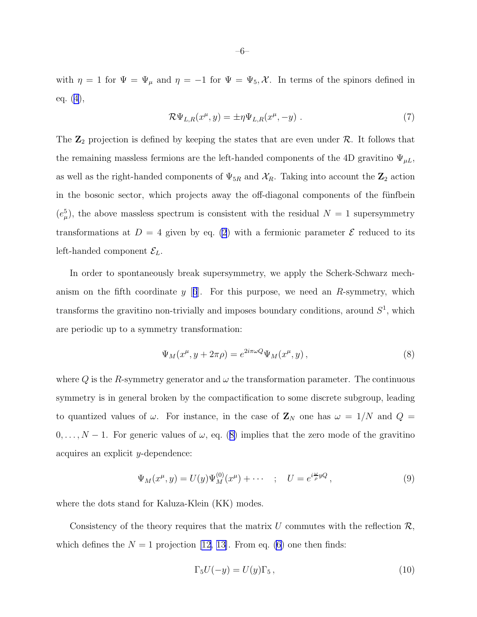<span id="page-5-0"></span>with  $\eta = 1$  for  $\Psi = \Psi_{\mu}$  and  $\eta = -1$  for  $\Psi = \Psi_5$ , X. In terms of the spinors defined in eq. [\(4\)](#page-4-0),

$$
\mathcal{R}\Psi_{L,R}(x^{\mu},y) = \pm \eta \Psi_{L,R}(x^{\mu}, -y) \tag{7}
$$

The  $\mathbb{Z}_2$  projection is defined by keeping the states that are even under  $\mathcal{R}$ . It follows that the remaining massless fermions are the left-handed components of the 4D gravitino  $\Psi_{\mu}$ , as well as the right-handed components of  $\Psi_{5R}$  and  $\mathcal{X}_R$ . Taking into account the  $\mathbb{Z}_2$  action in the bosonic sector, which projects away the off-diagonal components of the fünfbein  $(e_{\mu}^{5})$ , the above massless spectrum is consistent with the residual  $N=1$  supersymmetry transformations at  $D = 4$  given by eq. [\(2](#page-3-0)) with a fermionic parameter  $\mathcal E$  reduced to its left-handed component  $\mathcal{E}_L$ .

In order to spontaneously break supersymmetry, we apply the Scherk-Schwarz mechanism on the fifth coordinate y  $[6]$  $[6]$  $[6]$ . For this purpose, we need an R-symmetry, which transforms the gravitino non-trivially and imposes boundary conditions, around  $S<sup>1</sup>$ , which are periodic up to a symmetry transformation:

$$
\Psi_M(x^{\mu}, y + 2\pi \rho) = e^{2i\pi \omega Q} \Psi_M(x^{\mu}, y) , \qquad (8)
$$

where Q is the R-symmetry generator and  $\omega$  the transformation parameter. The continuous symmetry is in general broken by the compactification to some discrete subgroup, leading to quantized values of  $\omega$ . For instance, in the case of  $\mathbf{Z}_N$  one has  $\omega = 1/N$  and  $Q =$  $0, \ldots, N-1$ . For generic values of  $\omega$ , eq. (8) implies that the zero mode of the gravitino acquires an explicit y-dependence:

$$
\Psi_M(x^{\mu}, y) = U(y)\Psi_M^{(0)}(x^{\mu}) + \cdots \quad ; \quad U = e^{i\frac{\omega}{\rho}yQ}, \tag{9}
$$

where the dots stand for Kaluza-Klein (KK) modes.

Consistency of the theory requires that the matrix U commutes with the reflection  $\mathcal{R}$ , which defines the  $N = 1$  projection [\[12,](#page-12-0) [13\]](#page-13-0). From eq. [\(6](#page-4-0)) one then finds:

$$
\Gamma_5 U(-y) = U(y)\Gamma_5, \qquad (10)
$$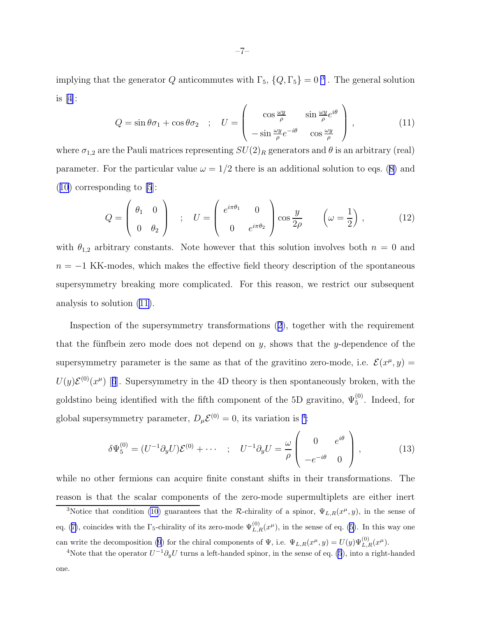<span id="page-6-0"></span>implying that the generator Q anticommutes with  $\Gamma_5$ ,  $\{Q, \Gamma_5\} = 0^3$ . The general solution is[[4\]](#page-12-0):

$$
Q = \sin \theta \sigma_1 + \cos \theta \sigma_2 \quad ; \quad U = \begin{pmatrix} \cos \frac{\omega y}{\rho} & \sin \frac{\omega y}{\rho} e^{i\theta} \\ -\sin \frac{\omega y}{\rho} e^{-i\theta} & \cos \frac{\omega y}{\rho} \end{pmatrix}, \tag{11}
$$

where  $\sigma_{1,2}$  are the Pauli matrices representing  $SU(2)_R$  generators and  $\theta$  is an arbitrary (real) parameter.For the particular value  $\omega = 1/2$  there is an additional solution to eqs. ([8\)](#page-5-0) and  $(10)$  $(10)$  $(10)$  corresponding to [\[5](#page-12-0)]:

$$
Q = \begin{pmatrix} \theta_1 & 0 \\ 0 & \theta_2 \end{pmatrix} ; U = \begin{pmatrix} e^{i\pi\theta_1} & 0 \\ 0 & e^{i\pi\theta_2} \end{pmatrix} \cos\frac{y}{2\rho} \qquad \left(\omega = \frac{1}{2}\right), \qquad (12)
$$

with  $\theta_{1,2}$  arbitrary constants. Note however that this solution involves both  $n = 0$  and  $n = -1$  KK-modes, which makes the effective field theory description of the spontaneous supersymmetry breaking more complicated. For this reason, we restrict our subsequent analysis to solution (11).

Inspection of the supersymmetry transformations([2](#page-3-0)), together with the requirement that the fünfbein zero mode does not depend on y, shows that the y-dependence of the supersymmetry parameter is the same as that of the gravitino zero-mode, i.e.  $\mathcal{E}(x^{\mu}, y) =$  $U(y){\mathcal{E}}^{(0)}(x^{\mu})$ [[6](#page-12-0)]. Supersymmetry in the 4D theory is then spontaneously broken, with the goldstino being identified with the fifth component of the 5D gravitino,  $\Psi_5^{(0)}$ . Indeed, for global supersymmetry parameter,  $D_{\mu} \mathcal{E}^{(0)} = 0$ , its variation is <sup>4</sup>:

$$
\delta\Psi_5^{(0)} = (U^{-1}\partial_y U)\mathcal{E}^{(0)} + \cdots \quad ; \quad U^{-1}\partial_y U = \frac{\omega}{\rho} \begin{pmatrix} 0 & e^{i\theta} \\ -e^{-i\theta} & 0 \end{pmatrix}, \tag{13}
$$

while no other fermions can acquire finite constant shifts in their transformations. The reason is that the scalar components of the zero-mode supermultiplets are either inert

<sup>&</sup>lt;sup>3</sup>Notice that condition [\(10](#page-5-0)) guarantees that the R-chirality of a spinor,  $\Psi_{L,R}(x^{\mu},y)$ , in the sense of eq.([7\)](#page-5-0), coincides with the  $\Gamma_5$ -chirality of its zero-mode  $\Psi_{L,R}^{(0)}(x^{\mu})$ , in the sense of eq. ([5\)](#page-4-0). In this way one can write the decomposition [\(9](#page-5-0)) for the chiral components of  $\Psi$ , i.e.  $\Psi_{L,R}(x^{\mu},y) = U(y)\Psi_{L,R}^{(0)}(x^{\mu}).$ 

<sup>&</sup>lt;sup>4</sup>Note that the operator  $U^{-1}\partial_y U$  turns a left-handed spinor, in the sense of eq. [\(5](#page-4-0)), into a right-handed one.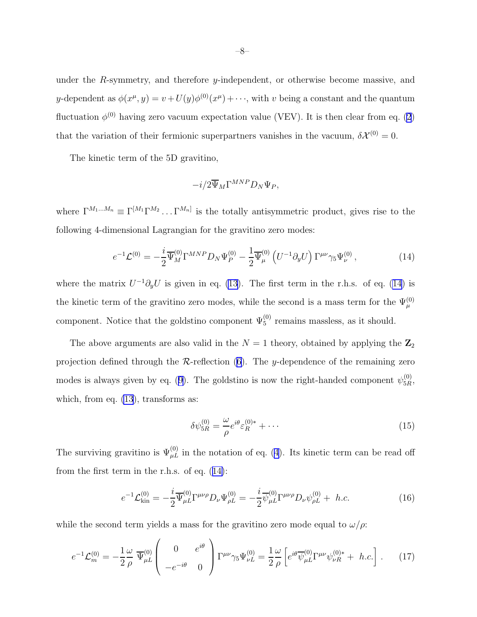<span id="page-7-0"></span>under the R-symmetry, and therefore y-independent, or otherwise become massive, and y-dependent as  $\phi(x^{\mu}, y) = v + U(y)\phi^{(0)}(x^{\mu}) + \cdots$ , with v being a constant and the quantum fluctuation  $\phi^{(0)}$  having zero vacuum expectation value (VEV). It is then clear from eq. [\(2](#page-3-0)) that the variation of their fermionic superpartners vanishes in the vacuum,  $\delta \mathcal{X}^{(0)} = 0$ .

The kinetic term of the 5D gravitino,

$$
-i/2\overline{\Psi}_M\Gamma^{MNP}D_N\Psi_P,
$$

where  $\Gamma^{M_1...M_n} \equiv \Gamma^{[M_1} \Gamma^{M_2} \dots \Gamma^{M_n]}$  is the totally antisymmetric product, gives rise to the following 4-dimensional Lagrangian for the gravitino zero modes:

$$
e^{-1}\mathcal{L}^{(0)} = -\frac{i}{2}\overline{\Psi}_M^{(0)}\Gamma^{MNP}D_N\Psi_P^{(0)} - \frac{1}{2}\overline{\Psi}_\mu^{(0)}\left(U^{-1}\partial_y U\right)\Gamma^{\mu\nu}\gamma_5\Psi_\nu^{(0)},\tag{14}
$$

where the matrix  $U^{-1}\partial_y U$  is given in eq. [\(13](#page-6-0)). The first term in the r.h.s. of eq. (14) is the kinetic term of the gravitino zero modes, while the second is a mass term for the  $\Psi_{\mu}^{(0)}$ component. Notice that the goldstino component  $\Psi_5^{(0)}$  remains massless, as it should.

The above arguments are also valid in the  $N = 1$  theory, obtained by applying the  $\mathbb{Z}_2$ projection defined through the  $\mathcal{R}\text{-reflection}$  [\(6\)](#page-4-0). The y-dependence of the remaining zero modesis always given by eq. ([9\)](#page-5-0). The goldstino is now the right-handed component  $\psi_{5R}^{(0)}$ , which, from eq.  $(13)$ , transforms as:

$$
\delta\psi_{5R}^{(0)} = \frac{\omega}{\rho} e^{i\theta} \varepsilon_R^{(0)*} + \cdots \tag{15}
$$

The surviving gravitino is  $\Psi_{\mu}^{(0)}$  in the notation of eq. [\(4](#page-4-0)). Its kinetic term can be read off from the first term in the r.h.s. of eq. (14):

$$
e^{-1}\mathcal{L}^{(0)}_{\text{kin}} = -\frac{i}{2}\overline{\Psi}^{(0)}_{\mu L}\Gamma^{\mu\nu\rho}D_{\nu}\Psi^{(0)}_{\rho L} = -\frac{i}{2}\overline{\psi}^{(0)}_{\mu L}\Gamma^{\mu\nu\rho}D_{\nu}\psi^{(0)}_{\rho L} + h.c.
$$
 (16)

while the second term yields a mass for the gravitino zero mode equal to  $\omega/\rho$ :

$$
e^{-1}\mathcal{L}_m^{(0)} = -\frac{1}{2} \frac{\omega}{\rho} \overline{\Psi}_{\mu L}^{(0)} \begin{pmatrix} 0 & e^{i\theta} \\ -e^{-i\theta} & 0 \end{pmatrix} \Gamma^{\mu\nu} \gamma_5 \Psi_{\nu L}^{(0)} = \frac{1}{2} \frac{\omega}{\rho} \left[ e^{i\theta} \overline{\psi}_{\mu L}^{(0)} \Gamma^{\mu\nu} \psi_{\nu R}^{(0)*} + h.c. \right].
$$
 (17)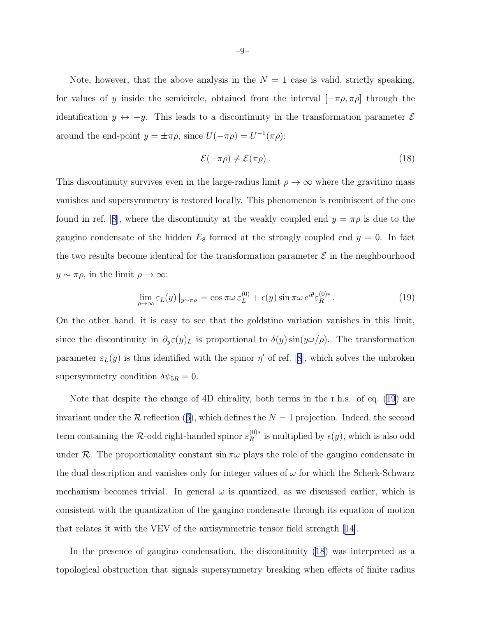Note, however, that the above analysis in the  $N = 1$  case is valid, strictly speaking, for values of y inside the semicircle, obtained from the interval  $[-\pi \rho, \pi \rho]$  through the identification  $y \leftrightarrow -y$ . This leads to a discontinuity in the transformation parameter  $\mathcal{E}$ around the end-point  $y = \pm \pi \rho$ , since  $U(-\pi \rho) = U^{-1}(\pi \rho)$ :

$$
\mathcal{E}(-\pi \rho) \neq \mathcal{E}(\pi \rho). \tag{18}
$$

This discontinuity survives even in the large-radius limit  $\rho \to \infty$  where the gravitino mass vanishes and supersymmetry is restored locally. This phenomenon is reminiscent of the one foundin ref. [[8\]](#page-12-0), where the discontinuity at the weakly coupled end  $y = \pi \rho$  is due to the gaugino condensate of the hidden  $E_8$  formed at the strongly coupled end  $y = 0$ . In fact the two results become identical for the transformation parameter  $\mathcal E$  in the neighbourhood  $y \sim \pi \rho$ , in the limit  $\rho \to \infty$ :

$$
\lim_{\rho \to \infty} \varepsilon_L(y) \, |_{y \sim \pi \rho} = \cos \pi \omega \, \varepsilon_L^{(0)} + \epsilon(y) \sin \pi \omega \, e^{i\theta} \varepsilon_R^{(0)*} \,. \tag{19}
$$

On the other hand, it is easy to see that the goldstino variation vanishes in this limit, since the discontinuity in  $\partial_y \varepsilon(y)_L$  is proportional to  $\delta(y) \sin(y\omega/\rho)$ . The transformation parameter $\varepsilon_L(y)$  is thus identified with the spinor  $\eta'$  of ref. [[8](#page-12-0)], which solves the unbroken supersymmetry condition  $\delta \psi_{5R} = 0$ .

Note that despite the change of 4D chirality, both terms in the r.h.s. of eq. (19) are invariantunder the  $R$  reflection ([6\)](#page-4-0), which defines the  $N = 1$  projection. Indeed, the second term containing the R-odd right-handed spinor  $\varepsilon_R^{(0)*}$  is multiplied by  $\epsilon(y)$ , which is also odd under R. The proportionality constant  $\sin \pi \omega$  plays the role of the gaugino condensate in the dual description and vanishes only for integer values of  $\omega$  for which the Scherk-Schwarz mechanism becomes trivial. In general  $\omega$  is quantized, as we discussed earlier, which is consistent with the quantization of the gaugino condensate through its equation of motion that relates it with the VEV of the antisymmetric tensor field strength[[14\]](#page-13-0).

In the presence of gaugino condensation, the discontinuity (18) was interpreted as a topological obstruction that signals supersymmetry breaking when effects of finite radius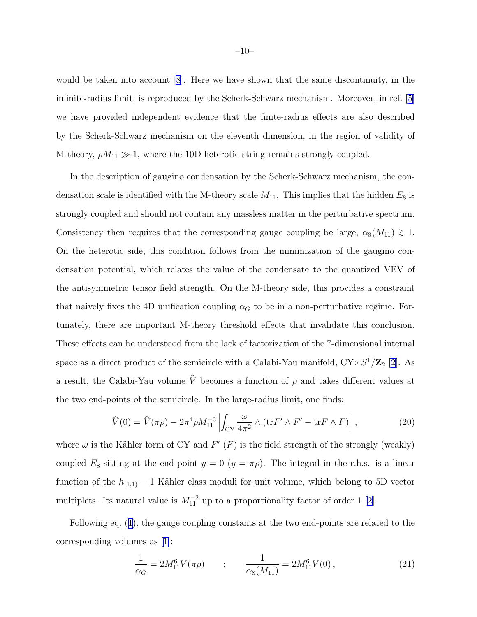<span id="page-9-0"></span>would be taken into account [\[8](#page-12-0)]. Here we have shown that the same discontinuity, in the infinite-radius limit, is reproduced by the Scherk-Schwarz mechanism. Moreover, in ref.[[5\]](#page-12-0) we have provided independent evidence that the finite-radius effects are also described by the Scherk-Schwarz mechanism on the eleventh dimension, in the region of validity of M-theory,  $\rho M_{11} \gg 1$ , where the 10D heterotic string remains strongly coupled.

In the description of gaugino condensation by the Scherk-Schwarz mechanism, the condensation scale is identified with the M-theory scale  $M_{11}$ . This implies that the hidden  $E_8$  is strongly coupled and should not contain any massless matter in the perturbative spectrum. Consistency then requires that the corresponding gauge coupling be large,  $\alpha_8(M_{11}) \gtrsim 1$ . On the heterotic side, this condition follows from the minimization of the gaugino condensation potential, which relates the value of the condensate to the quantized VEV of the antisymmetric tensor field strength. On the M-theory side, this provides a constraint that naively fixes the 4D unification coupling  $\alpha_G$  to be in a non-perturbative regime. Fortunately, there are important M-theory threshold effects that invalidate this conclusion. These effects can be understood from the lack of factorization of the 7-dimensional internal space as a direct product of the semicircle with a Calabi-Yau manifold,  $CY \times S^1/\mathbb{Z}_2$  [[2\]](#page-12-0). As a result, the Calabi-Yau volume  $\hat{V}$  becomes a function of  $\rho$  and takes different values at the two end-points of the semicircle. In the large-radius limit, one finds:

$$
\widehat{V}(0) = \widehat{V}(\pi \rho) - 2\pi^4 \rho M_{11}^{-3} \left| \int_{CY} \frac{\omega}{4\pi^2} \wedge (\text{tr} F' \wedge F' - \text{tr} F \wedge F) \right| , \qquad (20)
$$

where  $\omega$  is the Kähler form of CY and  $F'(F)$  is the field strength of the strongly (weakly) coupled  $E_8$  sitting at the end-point  $y = 0$   $(y = \pi \rho)$ . The integral in the r.h.s. is a linear function of the  $h_{(1,1)}$  – 1 Kähler class moduli for unit volume, which belong to 5D vector multiplets.Its natural value is  $M_{11}^{-2}$  up to a proportionality factor of order 1 [[2\]](#page-12-0).

Following eq.([1](#page-1-0)), the gauge coupling constants at the two end-points are related to the corresponding volumes as[[1\]](#page-12-0):

$$
\frac{1}{\alpha_G} = 2M_{11}^6 V(\pi \rho) \qquad ; \qquad \frac{1}{\alpha_8(M_{11})} = 2M_{11}^6 V(0) \,, \tag{21}
$$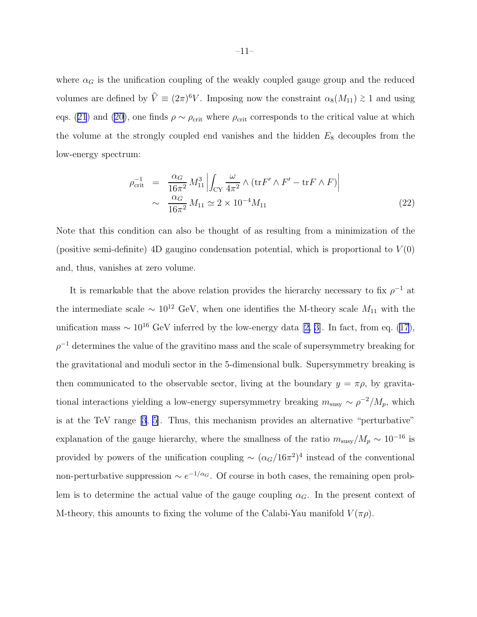<span id="page-10-0"></span>where  $\alpha_G$  is the unification coupling of the weakly coupled gauge group and the reduced volumes are defined by  $\hat{V} \equiv (2\pi)^6 V$ . Imposing now the constraint  $\alpha_8(M_{11}) \gtrsim 1$  and using eqs.([21](#page-9-0)) and ([20\)](#page-9-0), one finds  $\rho \sim \rho_{\rm crit}$  where  $\rho_{\rm crit}$  corresponds to the critical value at which the volume at the strongly coupled end vanishes and the hidden  $E_8$  decouples from the low-energy spectrum:

$$
\rho_{\text{crit}}^{-1} = \frac{\alpha_G}{16\pi^2} M_{11}^3 \left| \int_{CY} \frac{\omega}{4\pi^2} \wedge (\text{tr} F' \wedge F' - \text{tr} F \wedge F) \right|
$$
  
 
$$
\sim \frac{\alpha_G}{16\pi^2} M_{11} \simeq 2 \times 10^{-4} M_{11}
$$
 (22)

Note that this condition can also be thought of as resulting from a minimization of the (positive semi-definite) 4D gaugino condensation potential, which is proportional to  $V(0)$ and, thus, vanishes at zero volume.

It is remarkable that the above relation provides the hierarchy necessary to fix  $\rho^{-1}$  at the intermediate scale  $\sim 10^{12}$  GeV, when one identifies the M-theory scale  $M_{11}$  with the unificationmass  $\sim 10^{16}$  GeV inferred by the low-energy data [[2, 3\]](#page-12-0). In fact, from eq. [\(17\)](#page-7-0),  $\rho^{-1}$  determines the value of the gravitino mass and the scale of supersymmetry breaking for the gravitational and moduli sector in the 5-dimensional bulk. Supersymmetry breaking is then communicated to the observable sector, living at the boundary  $y = \pi \rho$ , by gravitational interactions yielding a low-energy supersymmetry breaking  $m_{\text{susy}} \sim \rho^{-2}/M_p$ , which is at the TeV range [\[3](#page-12-0), [5](#page-12-0)]. Thus, this mechanism provides an alternative "perturbative" explanation of the gauge hierarchy, where the smallness of the ratio  $m_{\text{susy}}/M_p \sim 10^{-16}$  is provided by powers of the unification coupling  $\sim (\alpha_G/16\pi^2)^4$  instead of the conventional non-perturbative suppression  $\sim e^{-1/\alpha_G}$ . Of course in both cases, the remaining open problem is to determine the actual value of the gauge coupling  $\alpha_G$ . In the present context of M-theory, this amounts to fixing the volume of the Calabi-Yau manifold  $V(\pi \rho)$ .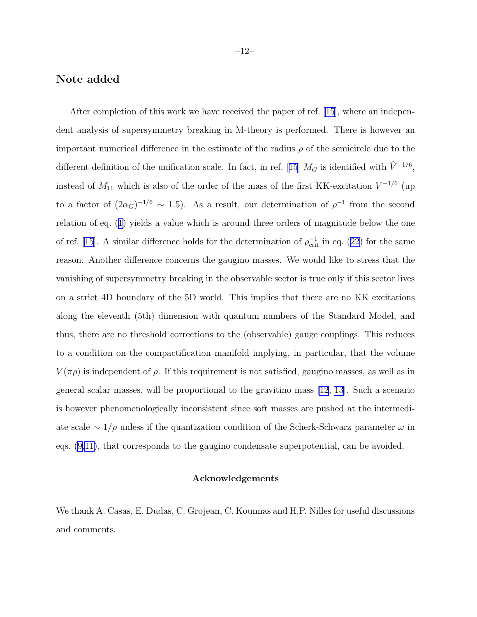### Note added

After completion of this work we have received the paper of ref. [\[15\]](#page-13-0), where an independent analysis of supersymmetry breaking in M-theory is performed. There is however an important numerical difference in the estimate of the radius  $\rho$  of the semicircle due to the differentdefinition of the unification scale. In fact, in ref. [[15](#page-13-0)]  $M_G$  is identified with  $\hat{V}^{-1/6}$ , instead of  $M_{11}$  which is also of the order of the mass of the first KK-excitation  $V^{-1/6}$  (up to a factor of  $(2\alpha_G)^{-1/6} \sim 1.5$ ). As a result, our determination of  $\rho^{-1}$  from the second relation of eq.([1\)](#page-1-0) yields a value which is around three orders of magnitude below the one ofref. [[15](#page-13-0)]. A similar difference holds for the determination of  $\rho_{\text{crit}}^{-1}$  in eq. ([22\)](#page-10-0) for the same reason. Another difference concerns the gaugino masses. We would like to stress that the vanishing of supersymmetry breaking in the observable sector is true only if this sector lives on a strict 4D boundary of the 5D world. This implies that there are no KK excitations along the eleventh (5th) dimension with quantum numbers of the Standard Model, and thus, there are no threshold corrections to the (observable) gauge couplings. This reduces to a condition on the compactification manifold implying, in particular, that the volume  $V(\pi \rho)$  is independent of  $\rho$ . If this requirement is not satisfied, gaugino masses, as well as in general scalar masses, will be proportional to the gravitino mass [\[12](#page-12-0), [13](#page-13-0)]. Such a scenario is however phenomenologically inconsistent since soft masses are pushed at the intermediate scale  $\sim 1/\rho$  unless if the quantization condition of the Scherk-Schwarz parameter  $\omega$  in eqs.([9,](#page-5-0)[11\)](#page-6-0), that corresponds to the gaugino condensate superpotential, can be avoided.

#### Acknowledgements

We thank A. Casas, E. Dudas, C. Grojean, C. Kounnas and H.P. Nilles for useful discussions and comments.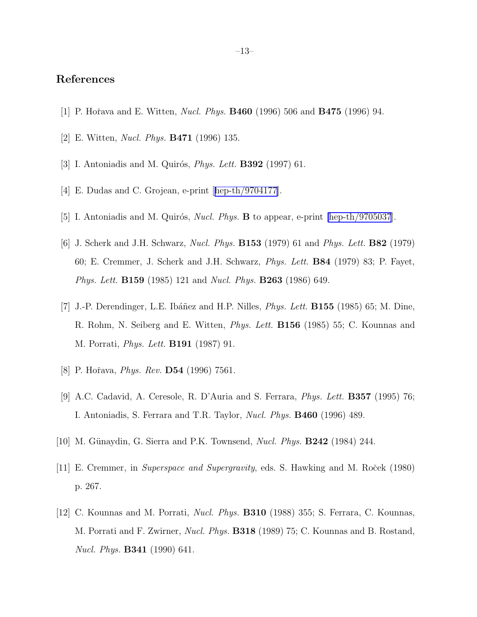# <span id="page-12-0"></span>References

- [1] P. Hořava and E. Witten, *Nucl. Phys.* **B460** (1996) 506 and **B475** (1996) 94.
- [2] E. Witten, Nucl. Phys. B471 (1996) 135.
- [3] I. Antoniadis and M. Quirós, *Phys. Lett.* **B392** (1997) 61.
- [4]E. Dudas and C. Grojean, e-print [[hep-th/9704177\]](http://arxiv.org/abs/hep-th/9704177).
- [5] I. Antoniadis and M. Quirós, *Nucl. Phys.* **B** to appear, e-print [\[hep-th/9705037](http://arxiv.org/abs/hep-th/9705037)].
- [6] J. Scherk and J.H. Schwarz, Nucl. Phys. B153 (1979) 61 and Phys. Lett. B82 (1979) 60; E. Cremmer, J. Scherk and J.H. Schwarz, Phys. Lett. B84 (1979) 83; P. Fayet, Phys. Lett. B159 (1985) 121 and Nucl. Phys. B263 (1986) 649.
- [7] J.-P. Derendinger, L.E. Ibáñez and H.P. Nilles, *Phys. Lett.* **B155** (1985) 65; M. Dine, R. Rohm, N. Seiberg and E. Witten, Phys. Lett. B156 (1985) 55; C. Kounnas and M. Porrati, Phys. Lett. B191 (1987) 91.
- [8] P. Hořava, *Phys. Rev.* **D54** (1996) 7561.
- [9] A.C. Cadavid, A. Ceresole, R. D'Auria and S. Ferrara, Phys. Lett. B357 (1995) 76; I. Antoniadis, S. Ferrara and T.R. Taylor, *Nucl. Phys.* **B460** (1996) 489.
- [10] M. Günaydin, G. Sierra and P.K. Townsend, *Nucl. Phys.* **B242** (1984) 244.
- [11] E. Cremmer, in *Superspace and Supergravity*, eds. S. Hawking and M. Roc̆ek (1980) p. 267.
- [12] C. Kounnas and M. Porrati, Nucl. Phys. B310 (1988) 355; S. Ferrara, C. Kounnas, M. Porrati and F. Zwirner, *Nucl. Phys.* **B318** (1989) 75; C. Kounnas and B. Rostand, Nucl. Phys. B341 (1990) 641.